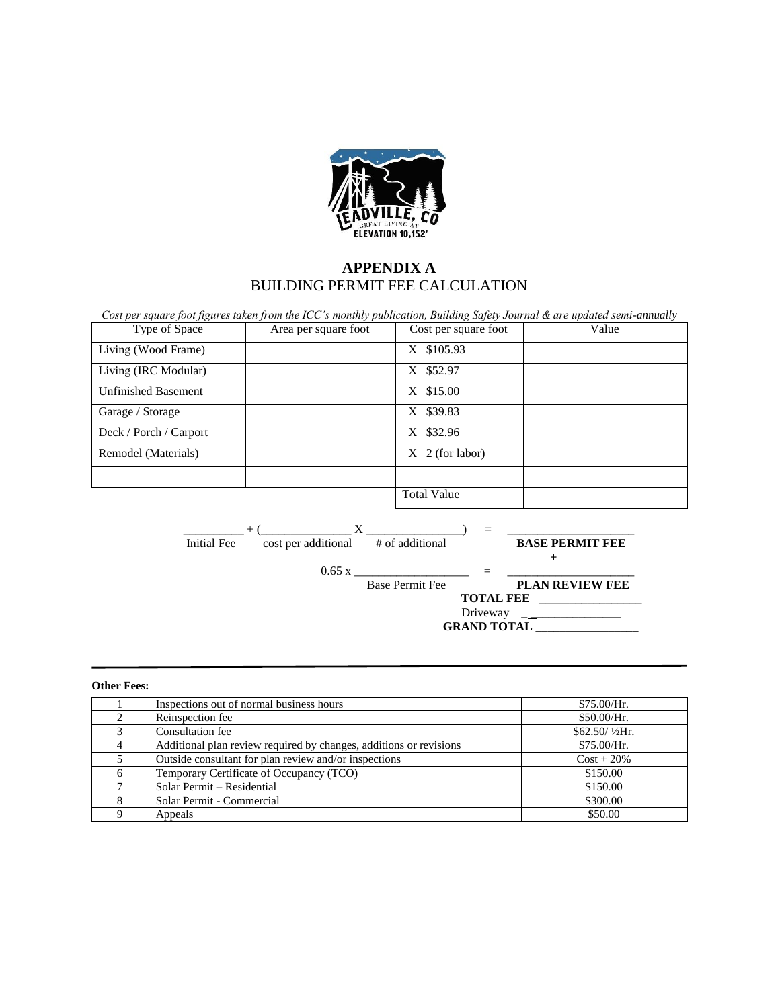

## **APPENDIX A** BUILDING PERMIT FEE CALCULATION

| Type of Space                                                                                                           | Area per square foot | Cost per square foot   | Value                  |
|-------------------------------------------------------------------------------------------------------------------------|----------------------|------------------------|------------------------|
| Living (Wood Frame)                                                                                                     |                      | X \$105.93             |                        |
| Living (IRC Modular)                                                                                                    |                      | X \$52.97              |                        |
| <b>Unfinished Basement</b>                                                                                              |                      | X \$15.00              |                        |
| Garage / Storage                                                                                                        |                      | X \$39.83              |                        |
| Deck / Porch / Carport                                                                                                  |                      | X \$32.96              |                        |
| Remodel (Materials)                                                                                                     |                      | $X \sim 2$ (for labor) |                        |
|                                                                                                                         |                      |                        |                        |
|                                                                                                                         |                      | <b>Total Value</b>     |                        |
|                                                                                                                         |                      |                        |                        |
| $+$ ( $\frac{X}{\text{cost per additional}}$ $\frac{X}{\text{# of additional}}$ = <b>BASE PERMIT FEE</b><br>Initial Fee |                      |                        |                        |
|                                                                                                                         |                      | $0.65 x$ =             | $^+$                   |
|                                                                                                                         |                      | <b>Base Permit Fee</b> | <b>PLAN REVIEW FEE</b> |
|                                                                                                                         |                      | TOTAL FEE              |                        |
|                                                                                                                         | <b>GRAND TOTAL</b>   |                        |                        |

## **Other Fees:**

| Inspections out of normal business hours                           | \$75.00/Hr.    |
|--------------------------------------------------------------------|----------------|
| Reinspection fee                                                   | \$50.00/Hr.    |
| Consultation fee                                                   | \$62.50/1/2Hr. |
| Additional plan review required by changes, additions or revisions | \$75.00/Hr.    |
| Outside consultant for plan review and/or inspections              | $Cost + 20\%$  |
| Temporary Certificate of Occupancy (TCO)                           | \$150.00       |
| Solar Permit – Residential                                         | \$150.00       |
| Solar Permit - Commercial                                          | \$300.00       |
| Appeals                                                            | \$50.00        |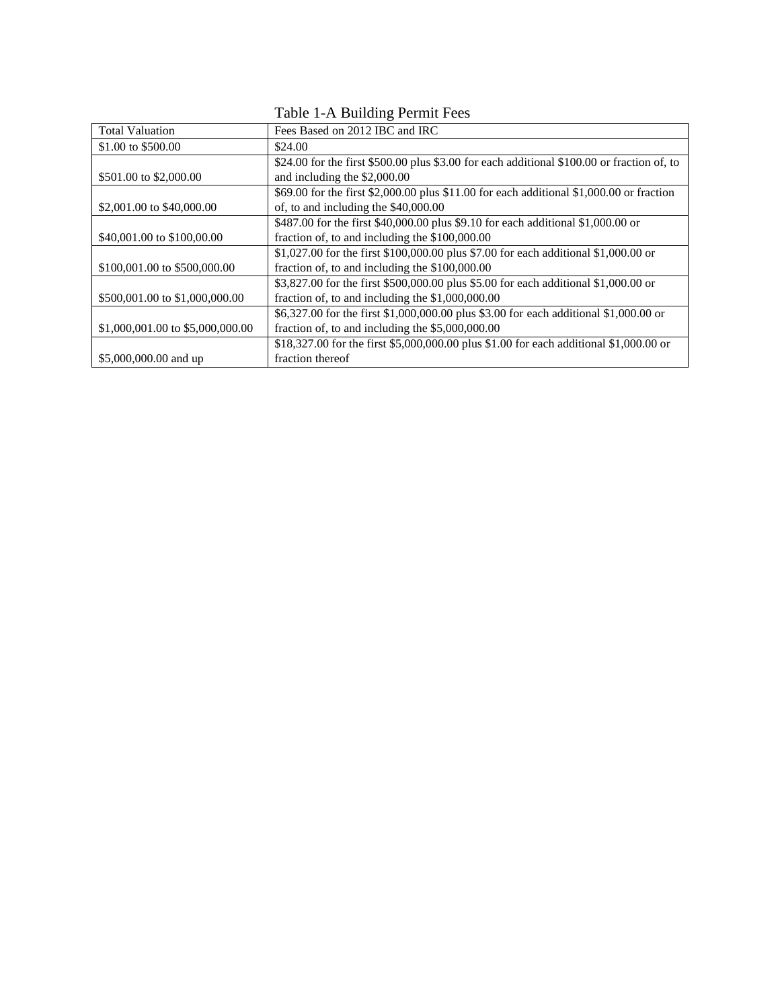| <b>Total Valuation</b>           | Fees Based on 2012 IBC and IRC                                                             |  |
|----------------------------------|--------------------------------------------------------------------------------------------|--|
| \$1.00 to \$500.00               | \$24.00                                                                                    |  |
|                                  | \$24.00 for the first \$500.00 plus \$3.00 for each additional \$100.00 or fraction of, to |  |
| \$501.00 to \$2,000.00           | and including the \$2,000.00                                                               |  |
|                                  | \$69.00 for the first \$2,000.00 plus \$11.00 for each additional \$1,000.00 or fraction   |  |
| \$2,001.00 to \$40,000.00        | of, to and including the \$40,000.00                                                       |  |
|                                  | \$487.00 for the first \$40,000.00 plus \$9.10 for each additional \$1,000.00 or           |  |
| \$40,001.00 to \$100,00.00       | fraction of, to and including the \$100,000.00                                             |  |
|                                  | \$1,027.00 for the first \$100,000.00 plus \$7.00 for each additional \$1,000.00 or        |  |
| \$100,001.00 to \$500,000.00     | fraction of, to and including the \$100,000.00                                             |  |
|                                  | \$3,827.00 for the first \$500,000.00 plus \$5.00 for each additional \$1,000.00 or        |  |
| \$500,001.00 to \$1,000,000.00   | fraction of, to and including the $$1,000,000.00$                                          |  |
|                                  | \$6,327.00 for the first \$1,000,000.00 plus \$3.00 for each additional \$1,000.00 or      |  |
| \$1,000,001.00 to \$5,000,000.00 | fraction of, to and including the $$5,000,000.00$                                          |  |
|                                  | \$18,327.00 for the first \$5,000,000.00 plus \$1.00 for each additional \$1,000.00 or     |  |
| \$5,000,000.00 and up            | fraction thereof                                                                           |  |

Table 1-A Building Permit Fees